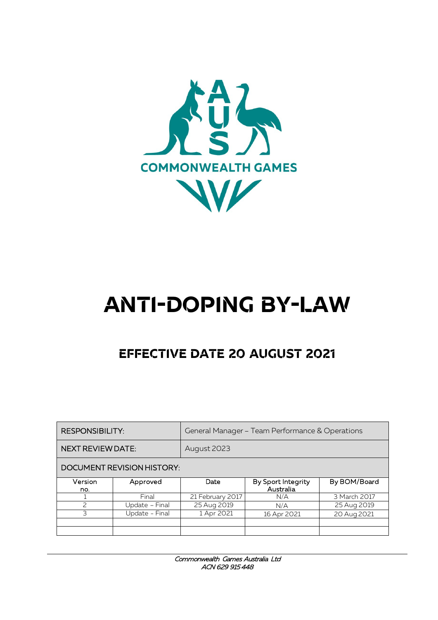

# **Anti-doping By-Law**

# **Effective date 20 august 2021**

| <b>RESPONSIBILITY:</b>     |                | General Manager - Team Performance & Operations |                                 |              |
|----------------------------|----------------|-------------------------------------------------|---------------------------------|--------------|
| <b>NEXT REVIEW DATE:</b>   |                | August 2023                                     |                                 |              |
| DOCUMENT REVISION HISTORY: |                |                                                 |                                 |              |
| Version<br>no.             | Approved       | Date                                            | By Sport Integrity<br>Australia | By BOM/Board |
|                            | Final          | 21 February 2017                                | N/A                             | 3 March 2017 |
| $\mathcal{P}$              | Update – Final | 25 Aug 2019                                     | N/A                             | 25 Aug 2019  |
| 3                          | Update - Final | 1 Apr 2021                                      | 16 Apr 2021                     | 20 Aug 2021  |
|                            |                |                                                 |                                 |              |
|                            |                |                                                 |                                 |              |

Commonwealth Games Australia Ltd ACN 629 915 448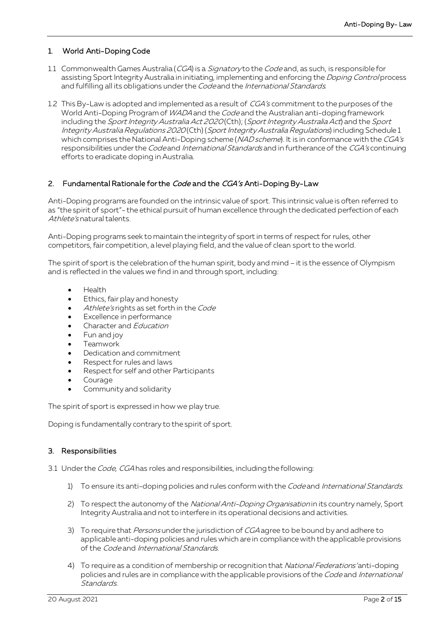# 1. World Anti-Doping Code

- 1.1 Commonwealth Games Australia (CGA) is a Signatory to the Code and, as such, is responsible for assisting Sport Integrity Australia in initiating, implementing and enforcing the *Doping Control* process and fulfilling all its obligations under the Code and the International Standards.
- 1.2 This By-Law is adopted and implemented as a result of CGA's commitment to the purposes of the World Anti-Doping Program of WADA and the Code and the Australian anti-doping framework including the Sport Integrity Australia Act 2020 (Cth); (Sport Integrity Australia Act) and the Sport Integrity Australia Regulations 2020 (Cth) (Sport Integrity Australia Regulations) including Schedule 1 which comprises the National Anti-Doping scheme (NAD scheme). It is in conformance with the CGA's responsibilities under the Code and International Standards and in furtherance of the CGA's continuing efforts to eradicate doping in Australia.

# 2. Fundamental Rationale for the Code and the CGA's Anti-Doping By-Law

Anti-Doping programs are founded on the intrinsic value of sport. This intrinsic value is often referred to as "the spirit of sport"- the ethical pursuit of human excellence through the dedicated perfection of each Athlete's natural talents.

Anti-Doping programs seek to maintain the integrity of sport in terms of respect for rules, other competitors, fair competition, a level playing field, and the value of clean sport to the world.

The spirit of sport is the celebration of the human spirit, body and mind – it is the essence of Olympism and is reflected in the values we find in and through sport, including:

- Health
- Ethics, fair play and honesty
- Athlete's rights as set forth in the Code
- Excellence in performance
- Character and Education
- Fun and joy
- Teamwork
- Dedication and commitment
- Respect for rules and laws
- Respect for self and other Participants
- **Courage**
- Community and solidarity

The spirit of sport is expressed in how we play true.

Doping is fundamentally contrary to the spirit of sport.

# 3. Responsibilities

- 3.1 Under the *Code, CGA* has roles and responsibilities, including the following:
	- 1) To ensure its anti-doping policies and rules conform with the Code and International Standards.
	- 2) To respect the autonomy of the National Anti-Doping Organisation in its country namely, Sport Integrity Australia and not to interfere in its operational decisions and activities.
	- 3) To require that *Persons* under the jurisdiction of CGA agree to be bound by and adhere to applicable anti-doping policies and rules which are in compliance with the applicable provisions of the Code and International Standards.
	- 4) To require as a condition of membership or recognition that *National Federations'* anti-doping policies and rules are in compliance with the applicable provisions of the Code and International Standards.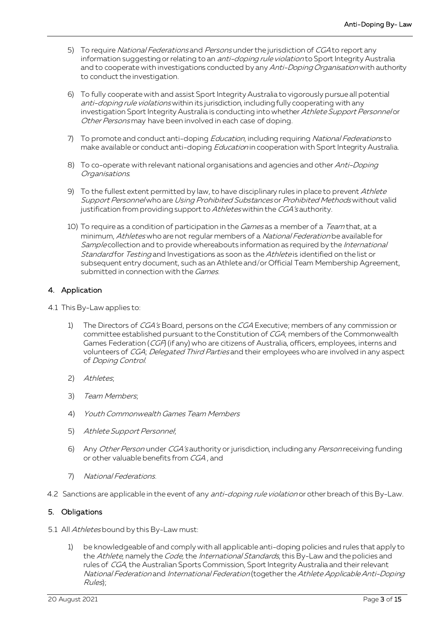- 5) To require National Federations and Persons under the jurisdiction of CGA to report any information suggesting or relating to an *anti-doping rule violation* to Sport Integrity Australia and to cooperate with investigations conducted by any Anti-Doping Organisation with authority to conduct the investigation.
- 6) To fully cooperate with and assist Sport Integrity Australia to vigorously pursue all potential anti-doping rule violations within its jurisdiction, including fully cooperating with any investigation Sport Integrity Australia is conducting into whether Athlete Support Personnel or Other Persons may have been involved in each case of doping.
- 7) To promote and conduct anti-doping *Education*, including requiring National Federations to make available or conduct anti-doping *Education* in cooperation with Sport Integrity Australia.
- 8) To co-operate with relevant national organisations and agencies and other Anti-Doping Organisations.
- 9) To the fullest extent permitted by law, to have disciplinary rules in place to prevent Athlete Support Personnel who are Using Prohibited Substances or Prohibited Methods without valid justification from providing support to Athletes within the CGA's authority.
- 10) To require as a condition of participation in the *Games* as a member of a *Team* that, at a minimum, Athletes who are not regular members of a National Federation be available for Sample collection and to provide whereabouts information as required by the International Standard for Testing and Investigations as soon as the Athlete is identified on the list or subsequent entry document, such as an Athlete and/or Official Team Membership Agreement, submitted in connection with the *Games*.

# 4. Application

- 4.1 This By-Law applies to:
	- 1) The Directors of CGA's Board, persons on the CGA Executive; members of any commission or committee established pursuant to the Constitution of CGA; members of the Commonwealth Games Federation (CGF) (if any) who are citizens of Australia, officers, employees, interns and volunteers of CGA; Delegated Third Parties and their employees who are involved in any aspect of Doping Control.
	- 2) Athletes;
	- 3) Team Members;
	- 4) Youth Commonwealth Games Team Members
	- 5) Athlete Support Personnel;
	- 6) Any Other Person under CGA's authority or jurisdiction, including any Person receiving funding or other valuable benefits from CGA , and
	- 7) National Federations.
- 4.2 Sanctions are applicable in the event of any anti-doping rule violation or other breach of this By-Law.

# 5. Obligations

- 5.1 All Athletes bound by this By-Law must:
	- 1) be knowledgeable of and comply with all applicable anti-doping policies and rules that apply to the Athlete, namely the Code, the International Standards, this By-Law and the policies and rules of CGA, the Australian Sports Commission, Sport Integrity Australia and their relevant National Federation and International Federation (together the Athlete Applicable Anti-Doping Rules);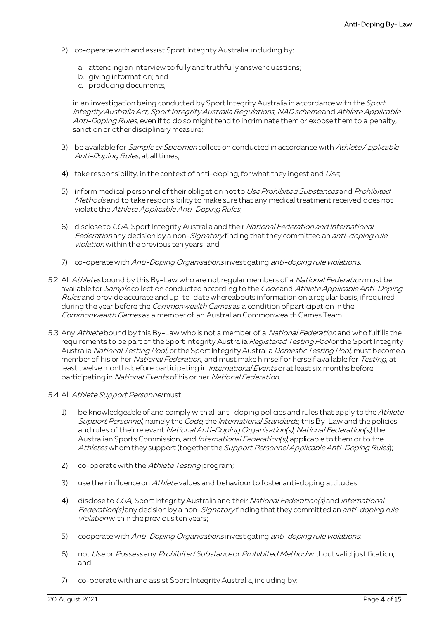- 2) co-operate with and assist Sport Integrity Australia, including by:
	- a. attending an interview to fully and truthfully answer questions;
	- b. giving information; and
	- c. producing documents,

in an investigation being conducted by Sport Integrity Australia in accordance with the Sport Integrity Australia Act, Sport Integrity Australia Regulations, NAD scheme and Athlete Applicable Anti-Doping Rules, even if to do so might tend to incriminate them or expose them to a penalty, sanction or other disciplinary measure;

- 3) be available for *Sample or Specimen* collection conducted in accordance with Athlete Applicable Anti-Doping Rules, at all times;
- 4) take responsibility, in the context of anti-doping, for what they ingest and Use;
- 5) inform medical personnel of their obligation not to Use Prohibited Substances and Prohibited Methods and to take responsibility to make sure that any medical treatment received does not violate the Athlete Applicable Anti-Doping Rules;
- 6) disclose to CGA, Sport Integrity Australia and their National Federation and International Federation any decision by a non-Signatory finding that they committed an anti-doping rule violation within the previous ten years; and
- 7) co-operate with Anti-Doping Organisations investigating anti-doping rule violations.
- 5.2 All Athletes bound by this By-Law who are not regular members of a National Federation must be available for Sample collection conducted according to the Code and Athlete Applicable Anti-Doping Rules and provide accurate and up-to-date whereabouts information on a regular basis, if required during the year before the *Commonwealth Games* as a condition of participation in the Commonwealth Games as a member of an Australian Commonwealth Games Team.
- 5.3 Any Athletebound by this By-Law who is not a member of a National Federation and who fulfills the requirements to be part of the Sport Integrity Australia Registered Testing Pool or the Sport Integrity Australia National Testing Pool, or the Sport Integrity Australia Domestic Testing Pool, must become a member of his or her National Federation, and must make himself or herself available for Testing, at least twelve months before participating in *International Events* or at least six months before participating in National Events of his or her National Federation.
- 5.4 All Athlete Support Personnel must:
	- 1) be knowledgeable of and comply with all anti-doping policies and rules that apply to the Athlete Support Personnel, namely the Code, the International Standards, this By-Law and the policies and rules of their relevant National Anti-Doping Organisation(s), National Federation(s), the Australian Sports Commission, and International Federation(s), applicable to them or to the Athletes whom they support (together the Support Personnel Applicable Anti-Doping Rules);
	- 2) co-operate with the Athlete Testing program;
	- 3) use their influence on Athlete values and behaviour to foster anti-doping attitudes;
	- 4) disclose to CGA, Sport Integrity Australia and their National Federation(s) and International Federation(s) any decision by a non-Signatory finding that they committed an anti-doping rule violation within the previous ten years;
	- 5) cooperate with Anti-Doping Organisations investigating anti-doping rule violations;
	- 6) not Use or Possess any Prohibited Substance or Prohibited Method without valid justification; and
	- 7) co-operate with and assist Sport Integrity Australia, including by: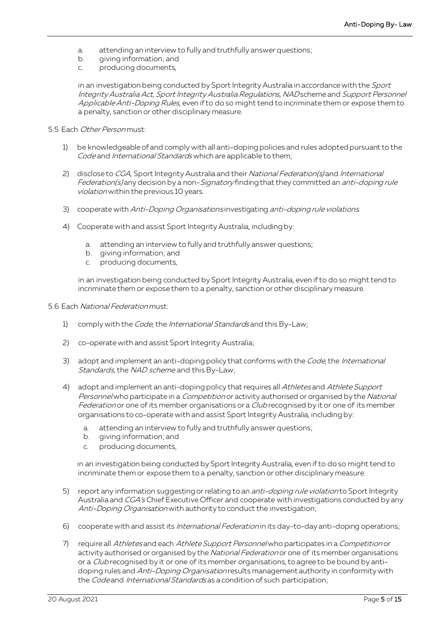- a. attending an interview to fully and truthfully answer questions;
- b. giving information; and
- c. producing documents,

in an investigation being conducted by Sport Integrity Australia in accordance with the Sport Integrity Australia Act, Sport Integrity Australia Regulations, NAD scheme and Support Personnel Applicable Anti-Doping Rules, even if to do so might tend to incriminate them or expose them to a penalty, sanction or other disciplinary measure.

#### 5.5 Each Other Person must:

- 1) be knowledgeable of and comply with all anti-doping policies and rules adopted pursuant to the Code and International Standards which are applicable to them;
- 2) disclose to CGA, Sport Integrity Australia and their National Federation(s) and International Federation(s) any decision by a non-Signatory finding that they committed an anti-doping rule violation within the previous 10 years.
- 3) cooperate with Anti-Doping Organisations investigating anti-doping rule violations.
- 4) Cooperate with and assist Sport Integrity Australia, including by:
	- a. attending an interview to fully and truthfully answer questions;
	- b. giving information; and
	- c. producing documents,

in an investigation being conducted by Sport Integrity Australia, even if to do so might tend to incriminate them or expose them to a penalty, sanction or other disciplinary measure.

- 5.6 Each National Federation must:
	- 1) comply with the *Code*, the *International Standards* and this By-Law;
	- 2) co-operate with and assist Sport Integrity Australia;
	- 3) adopt and implement an anti-doping policy that conforms with the Code, the International Standards, the NAD scheme and this By-Law;
	- 4) adopt and implement an anti-doping policy that requires all Athletes and Athlete Support Personne/who participate in a *Competition* or activity authorised or organised by the National Federation or one of its member organisations or a Club recognised by it or one of its member organisations to co-operate with and assist Sport Integrity Australia, including by:
		- a. attending an interview to fully and truthfully answer questions;
		- b. giving information; and
		- c. producing documents,

in an investigation being conducted by Sport Integrity Australia, even if to do so might tend to incriminate them or expose them to a penalty, sanction or other disciplinary measure.

- 5) report any information suggesting or relating to an *anti-doping rule violation* to Sport Integrity Australia and CGA's Chief Executive Officer and cooperate with investigations conducted by any Anti-Doping Organisation with authority to conduct the investigation;
- 6) cooperate with and assist its *International Federation* in its day-to-day anti-doping operations;
- 7) require all Athletes and each Athlete Support Personnel who participates in a Competition or activity authorised or organised by the National Federation or one of its member organisations or a Club recognised by it or one of its member organisations, to agree to be bound by antidoping rules and Anti-Doping Organisation results management authority in conformity with the Code and International Standards as a condition of such participation;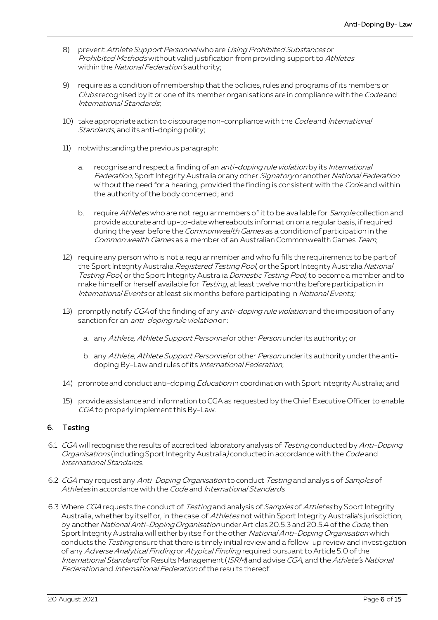- 8) prevent Athlete Support Personnel who are Using Prohibited Substances or Prohibited Methods without valid justification from providing support to Athletes within the National Federation's authority;
- 9) require as a condition of membership that the policies, rules and programs of its members or Clubs recognised by it or one of its member organisations are in compliance with the Code and International Standards;
- 10) take appropriate action to discourage non-compliance with the Code and International Standards, and its anti-doping policy;
- 11) notwithstanding the previous paragraph:
	- a. recognise and respect a finding of an *anti-doping rule violation* by its *International* Federation, Sport Integrity Australia or any other Signatory or another National Federation without the need for a hearing, provided the finding is consistent with the Code and within the authority of the body concerned; and
	- b. require Athletes who are not regular members of it to be available for Sample collection and provide accurate and up-to-date whereabouts information on a regular basis, if required during the year before the *Commonwealth Games* as a condition of participation in the Commonwealth Games as a member of an Australian Commonwealth Games Team;
- 12) require any person who is not a regular member and who fulfills the requirements to be part of the Sport Integrity Australia Registered Testing Pool, or the Sport Integrity Australia National Testing Pool, or the Sport Integrity Australia Domestic Testing Pool, to become a member and to make himself or herself available for Testing, at least twelve months before participation in International Events or at least six months before participating in National Events;
- 13) promptly notify CGA of the finding of any *anti-doping rule violation* and the imposition of any sanction for an *anti-doping rule violation* on:
	- a. any Athlete, Athlete Support Personnel or other Person under its authority; or
	- b. any Athlete, Athlete Support Personnel or other Person under its authority under the antidoping By-Law and rules of its International Federation;
- 14) promote and conduct anti-doping *Education* in coordination with Sport Integrity Australia; and
- 15) provide assistance and information to CGA as requested by the Chief Executive Officer to enable CGA to properly implement this By-Law.

# 6. Testing

- 6.1 CGA will recognise the results of accredited laboratory analysis of Testing conducted by Anti-Doping Organisations (including Sport Integrity Australia) conducted in accordance with the Code and International Standards.
- 6.2 CGA may request any Anti-Doping Organisation to conduct Testing and analysis of Samples of Athletes in accordance with the Code and International Standards.
- 6.3 Where CGA requests the conduct of Testing and analysis of Samples of Athletes by Sport Integrity Australia, whether by itself or, in the case of Athletes not within Sport Integrity Australia's jurisdiction, by another National Anti-Doping Organisation under Articles 20.5.3 and 20.5.4 of the Code, then Sport Integrity Australia will either by itself or the other National Anti-Doping Organisation which conducts the Testing ensure that there is timely initial review and a follow-up review and investigation of any Adverse Analytical Finding or Atypical Finding required pursuant to Article 5.0 of the International Standard for Results Management (ISRM) and advise CGA, and the Athlete's National Federation and International Federation of the results thereof.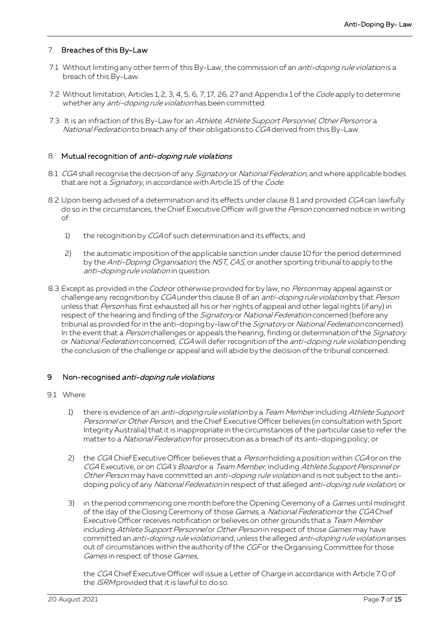## 7. Breaches of this By-Law

- 7.1 Without limiting any other term of this By-Law, the commission of an *anti-doping rule violation* is a breach of this By-Law.
- 7.2 Without limitation, Articles 1, 2, 3, 4, 5, 6, 7, 17, 26, 27 and Appendix 1 of the *Code* apply to determine whether any *anti-doping rule violation* has been committed.
- 7.3 It is an infraction of this By-Law for an Athlete, Athlete Support Personnel, Other Person or a National Federation to breach any of their obligations to CGA derived from this By-Law.

#### 8. Mutual recognition of anti-doping rule violations

- 8.1 CGA shall recognise the decision of any Signatory or National Federation, and where applicable bodies that are not a *Signatory*, in accordance with Article 15 of the Code.
- 8.2 Upon being advised of a determination and its effects under clause 8.1 and provided CGA can lawfully do so in the circumstances, the Chief Executive Officer will give the Person concerned notice in writing of:
	- 1) the recognition by CGA of such determination and its effects; and
	- 2) the automatic imposition of the applicable sanction under clause 10 for the period determined by the Anti-Doping Organisation, the NST, CAS, or another sporting tribunal to apply to the anti-doping rule violation in question.
- 8.3 Except as provided in the Code or otherwise provided for by law, no Person may appeal against or challenge any recognition by CGA under this clause 8 of an anti-doping rule violation by that Person unless that Person has first exhausted all his or her rights of appeal and other legal rights (if any) in respect of the hearing and finding of the Signatory or National Federation concerned (before any tribunal as provided for in the anti-doping by-law of the Signatory or National Federation concerned). In the event that a Person challenges or appeals the hearing, finding or determination of the Signatory or National Federation concerned, CGA will defer recognition of the anti-doping rule violation pending the conclusion of the challenge or appeal and will abide by the decision of the tribunal concerned.

#### 9 Non-recognised anti-doping rule violations

- 9.1 Where:
	- 1) there is evidence of an *anti-doping rule violation* by a *Team Member* including Athlete Support Personnel or Other Person, and the Chief Executive Officer believes (in consultation with Sport Integrity Australia) that it is inappropriate in the circumstances of the particular case to refer the matter to a National Federation for prosecution as a breach of its anti-doping policy; or
	- 2) the CGA Chief Executive Officer believes that a *Person* holding a position within CGA or on the CGA Executive, or on CGA's Board or a Team Member, including Athlete Support Personnel or Other Person may have committed an anti-doping rule violation and is not subject to the antidoping policy of any National Federation in respect of that alleged anti-doping rule violation, or
	- 3) in the period commencing one month before the Opening Ceremony of a *Games* until midnight of the day of the Closing Ceremony of those Games, a National Federation or the CGA Chief Executive Officer receives notification or believes on other grounds that a Team Member including Athlete Support Personnel or Other Person in respect of those Games may have committed an *anti-doping rule violation* and, unless the alleged *anti-doping rule violation* arises out of circumstances within the authority of the CGF or the Organising Committee for those Games in respect of those Games,

the CGA Chief Executive Officer will issue a Letter of Charge in accordance with Article 7.0 of the *ISRM* provided that it is lawful to do so.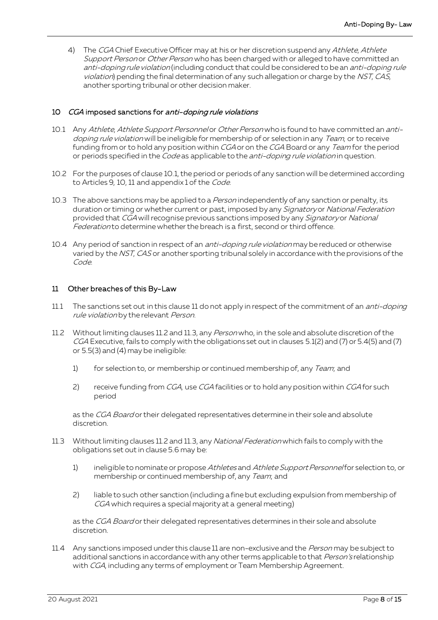4) The CGA Chief Executive Officer may at his or her discretion suspend any Athlete, Athlete Support Person or Other Person who has been charged with or alleged to have committed an anti-doping rule violation (including conduct that could be considered to be an anti-doping rule violation) pending the final determination of any such allegation or charge by the NST, CAS, another sporting tribunal or other decision maker.

# 10 CGA imposed sanctions for anti-doping rule violations

- 10.1 Any Athlete, Athlete Support Personnel or Other Person who is found to have committed an antidoping rule violation will be ineligible for membership of or selection in any Team, or to receive funding from or to hold any position within CGA or on the CGA Board or any Team for the period or periods specified in the *Code* as applicable to the *anti-doping rule violation* in question.
- 10.2 For the purposes of clause 10.1, the period or periods of any sanction will be determined according to Articles 9, 10, 11 and appendix 1 of the Code.
- 10.3 The above sanctions may be applied to a *Person* independently of any sanction or penalty, its duration or timing or whether current or past, imposed by any Signatory or National Federation provided that CGA will recognise previous sanctions imposed by any Signatory or National Federation to determine whether the breach is a first, second or third offence.
- 10.4 Any period of sanction in respect of an *anti-doping rule violation* may be reduced or otherwise varied by the NST, CAS or another sporting tribunal solely in accordance with the provisions of the Code.

#### 11 Other breaches of this By-Law

- 11.1 The sanctions set out in this clause 11 do not apply in respect of the commitment of an *anti-doping* rule violation by the relevant Person.
- 11.2 Without limiting clauses 11.2 and 11.3, any Person who, in the sole and absolute discretion of the CGA Executive, fails to comply with the obligations set out in clauses 5.1(2) and (7) or 5.4(5) and (7) or 5.5(3) and (4) may be ineligible:
	- 1) for selection to, or membership or continued membership of, any Team; and
	- 2) receive funding from CGA, use CGA facilities or to hold any position within CGA for such period

as the CGA Board or their delegated representatives determine in their sole and absolute discretion.

- 11.3 Without limiting clauses 11.2 and 11.3, any National Federation which fails to comply with the obligations set out in clause 5.6 may be:
	- 1) ineligible to nominate or propose Athletes and Athlete Support Personnel for selection to, or membership or continued membership of, any Team; and
	- 2) liable to such other sanction (including a fine but excluding expulsion from membership of CGA which requires a special majority at a general meeting)

as the CGA Board or their delegated representatives determines in their sole and absolute discretion.

11.4 Any sanctions imposed under this clause 11 are non-exclusive and the Person may be subject to additional sanctions in accordance with any other terms applicable to that Person's relationship with CGA, including any terms of employment or Team Membership Agreement.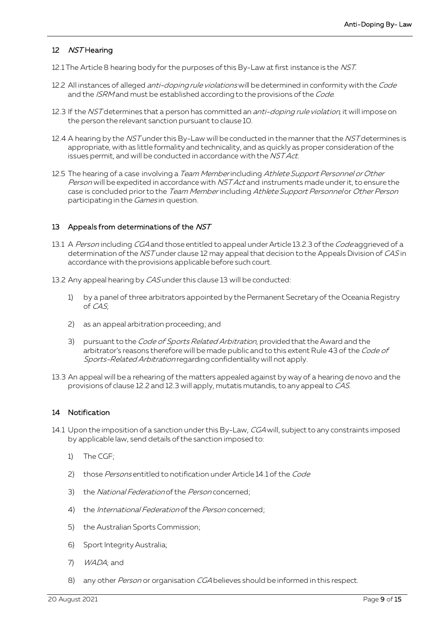# 12 NST Hearing

- 12.1 The Article 8 hearing body for the purposes of this By-Law at first instance is the NST.
- 12.2 All instances of alleged *anti-doping rule violations* will be determined in conformity with the Code and the *ISRM* and must be established according to the provisions of the *Code*.
- 12.3 If the NST determines that a person has committed an *anti-doping rule violation*, it will impose on the person the relevant sanction pursuant to clause 10.
- 12.4 A hearing by the NST under this By-Law will be conducted in the manner that the NST determines is appropriate, with as little formality and technicality, and as quickly as proper consideration of the issues permit, and will be conducted in accordance with the NST Act.
- 12.5 The hearing of a case involving a Team Memberincluding Athlete Support Personnel or Other Person will be expedited in accordance with NST Act and instruments made under it, to ensure the case is concluded prior to the Team Member including Athlete Support Personnel or Other Person participating in the Games in question.

#### 13 Appeals from determinations of the NST

- 13.1 A Person including CGA and those entitled to appeal under Article 13.2.3 of the Code aggrieved of a determination of the NST under clause 12 may appeal that decision to the Appeals Division of CAS in accordance with the provisions applicable before such court.
- 13.2 Any appeal hearing by CAS under this clause 13 will be conducted:
	- 1) by a panel of three arbitrators appointed by the Permanent Secretary of the Oceania Registry of CAS;
	- 2) as an appeal arbitration proceeding; and
	- 3) pursuant to the Code of Sports Related Arbitration, provided that the Award and the arbitrator's reasons therefore will be made public and to this extent Rule 43 of the Code of Sports-Related Arbitration regarding confidentiality will not apply.
- 13.3 An appeal will be a rehearing of the matters appealed against by way of a hearing de novo and the provisions of clause 12.2 and 12.3 will apply, mutatis mutandis, to any appeal to CAS.

#### 14 Notification

- 14.1 Upon the imposition of a sanction under this By-Law, CGA will, subject to any constraints imposed by applicable law, send details of the sanction imposed to:
	- 1) The CGF;
	- 2) those Persons entitled to notification under Article 14.1 of the Code
	- 3) the *National Federation* of the *Person* concerned;
	- 4) the *International Federation* of the *Person* concerned;
	- 5) the Australian Sports Commission;
	- 6) Sport Integrity Australia;
	- 7) WADA; and
	- 8) any other Person or organisation CGA believes should be informed in this respect.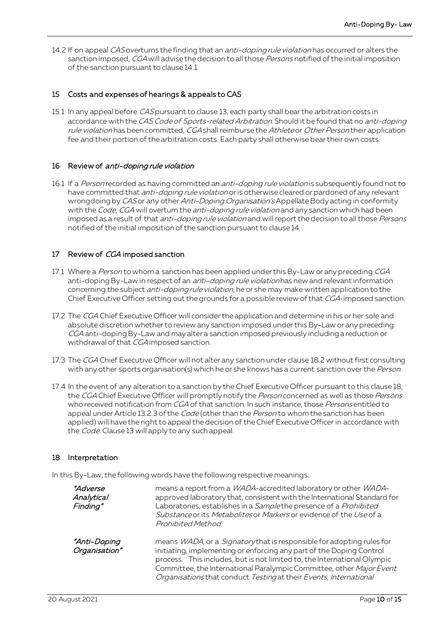14.2 If on appeal CAS overturns the finding that an *anti-doping rule violation* has occurred or alters the sanction imposed, CGA will advise the decision to all those Persons notified of the initial imposition of the sanction pursuant to clause 14.1.

#### 15 Costs and expenses of hearings & appeals to CAS

15.1 In any appeal before CAS pursuant to clause 13, each party shall bear the arbitration costs in accordance with the CAS Code of Sports-related Arbitration. Should it be found that no anti-doping rule violation has been committed, CGA shall reimburse the Athlete or Other Person their application fee and their portion of the arbitration costs. Each party shall otherwise bear their own costs.

#### 16 Review of anti-doping rule violation

16.1 If a Person recorded as having committed an *anti-doping rule violation* is subsequently found not to have committed that *anti-doping rule violation* or is otherwise cleared or pardoned of any relevant wrongdoing by CAS or any other Anti-Doping Organisation's Appellate Body acting in conformity with the Code, CGA will overturn the anti-doping rule violation and any sanction which had been imposed as a result of that *anti-doping rule violation* and will report the decision to all those Persons notified of the initial imposition of the sanction pursuant to clause 14.

#### 17 Review of CGA imposed sanction

- 17.1 Where a Person to whom a sanction has been applied under this By-Law or any preceding CGA anti-doping By-Law in respect of an *anti-doping rule violation* has new and relevant information concerning the subject *anti-doping rule violation*, he or she may make written application to the Chief Executive Officer setting out the grounds for a possible review of that CGA-imposed sanction.
- 17.2 The CGA Chief Executive Officer will consider the application and determine in his or her sole and absolute discretion whether to review any sanction imposed under this By-Law or any preceding CGA anti-doping By-Law and may alter a sanction imposed previously including a reduction or withdrawal of that CGA imposed sanction.
- 17.3 The CGA Chief Executive Officer will not alter any sanction under clause 18.2 without first consulting with any other sports organisation(s) which he or she knows has a current sanction over the Person.
- 17.4 In the event of any alteration to a sanction by the Chief Executive Officer pursuant to this clause 18, the CGA Chief Executive Officer will promptly notify the Person concerned as well as those Persons who received notification from CGA of that sanction. In such instance, those Persons entitled to appeal under Article 13.2.3 of the *Code* (other than the *Person* to whom the sanction has been applied) will have the right to appeal the decision of the Chief Executive Officer in accordance with the *Code*. Clause 13 will apply to any such appeal.

#### 18 Interpretation

In this By-Law, the following words have the following respective meanings:

| <i>"Adverse</i><br>Analytical<br>Finding" | means a report from a <i>WADA</i> -accredited laboratory or other <i>WADA</i> -<br>approved laboratory that, consistent with the International Standard for<br>Laboratories, establishes in a Samplethe presence of a Prohibited<br>Substance or its Metabolites or Markers or evidence of the Use of a<br>Prohibited Method.                                                         |
|-------------------------------------------|---------------------------------------------------------------------------------------------------------------------------------------------------------------------------------------------------------------------------------------------------------------------------------------------------------------------------------------------------------------------------------------|
| "Anti-Doping<br>Organisation"             | means <i>WADA</i> , or a <i>Signatory</i> that is responsible for adopting rules for<br>initiating, implementing or enforcing any part of the Doping Control<br>process. This includes, but is not limited to, the International Olympic<br>Committee, the International Paralympic Committee, other Major Event<br>Organisations that conduct Testing at their Events, International |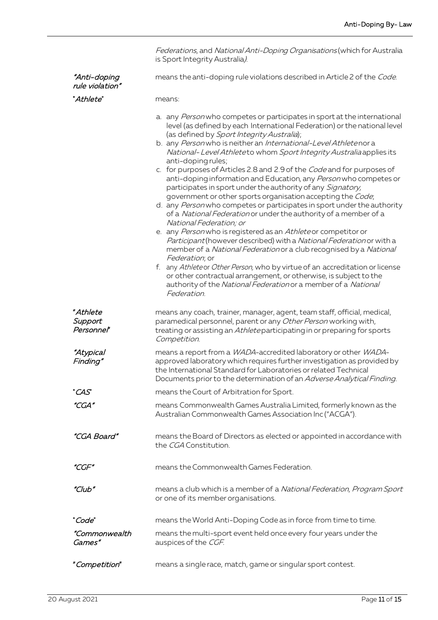|                                   | Federations, and National Anti-Doping Organisations (which for Australia<br>is Sport Integrity Australia).                                                                                                                                                                                                                                                                                                                                                                                                                                                                                                                                                                                                                                                                                                                                                                                                                                                                                                                                                                                                                                                                                                                                                                                        |
|-----------------------------------|---------------------------------------------------------------------------------------------------------------------------------------------------------------------------------------------------------------------------------------------------------------------------------------------------------------------------------------------------------------------------------------------------------------------------------------------------------------------------------------------------------------------------------------------------------------------------------------------------------------------------------------------------------------------------------------------------------------------------------------------------------------------------------------------------------------------------------------------------------------------------------------------------------------------------------------------------------------------------------------------------------------------------------------------------------------------------------------------------------------------------------------------------------------------------------------------------------------------------------------------------------------------------------------------------|
| "Anti-doping<br>rule violation"   | means the anti-doping rule violations described in Article 2 of the Code.                                                                                                                                                                                                                                                                                                                                                                                                                                                                                                                                                                                                                                                                                                                                                                                                                                                                                                                                                                                                                                                                                                                                                                                                                         |
| "Athlete"                         | means:                                                                                                                                                                                                                                                                                                                                                                                                                                                                                                                                                                                                                                                                                                                                                                                                                                                                                                                                                                                                                                                                                                                                                                                                                                                                                            |
|                                   | a. any Person who competes or participates in sport at the international<br>level (as defined by each International Federation) or the national level<br>(as defined by Sport Integrity Australia);<br>b. any Personwho is neither an International-Level Athletenor a<br>National-Level Athleteto whom Sport Integrity Australia applies its<br>anti-doping rules;<br>c. for purposes of Articles 2.8 and 2.9 of the Code and for purposes of<br>anti-doping information and Education, any Person who competes or<br>participates in sport under the authority of any Signatory,<br>government or other sports organisation accepting the Code;<br>d. any Person who competes or participates in sport under the authority<br>of a National Federation or under the authority of a member of a<br>National Federation; or<br>e. any Person who is registered as an Athleteor competitor or<br>Participant (however described) with a National Federation or with a<br>member of a National Federation or a club recognised by a National<br>Federation; or<br>f. any Athleteor Other Person, who by virtue of an accreditation or license<br>or other contractual arrangement, or otherwise, is subject to the<br>authority of the National Federation or a member of a National<br>Federation. |
| "Athlete<br>Support<br>Personnel" | means any coach, trainer, manager, agent, team staff, official, medical,<br>paramedical personnel, parent or any Other Person working with,<br>treating or assisting an Athleteparticipating in or preparing for sports<br>Competition.                                                                                                                                                                                                                                                                                                                                                                                                                                                                                                                                                                                                                                                                                                                                                                                                                                                                                                                                                                                                                                                           |
| <i>"Atypical</i><br>Finding"      | means a report from a WADA-accredited laboratory or other WADA-<br>approved laboratory which requires further investigation as provided by<br>the International Standard for Laboratories or related Technical<br>Documents prior to the determination of an <i>Adverse Analytical Finding</i> .                                                                                                                                                                                                                                                                                                                                                                                                                                                                                                                                                                                                                                                                                                                                                                                                                                                                                                                                                                                                  |
| "CAS"                             | means the Court of Arbitration for Sport.                                                                                                                                                                                                                                                                                                                                                                                                                                                                                                                                                                                                                                                                                                                                                                                                                                                                                                                                                                                                                                                                                                                                                                                                                                                         |
| "CGA"                             | means Commonwealth Games Australia Limited, formerly known as the<br>Australian Commonwealth Games Association Inc ("ACGA").                                                                                                                                                                                                                                                                                                                                                                                                                                                                                                                                                                                                                                                                                                                                                                                                                                                                                                                                                                                                                                                                                                                                                                      |
| "CGA Board"                       | means the Board of Directors as elected or appointed in accordance with<br>the CGA Constitution.                                                                                                                                                                                                                                                                                                                                                                                                                                                                                                                                                                                                                                                                                                                                                                                                                                                                                                                                                                                                                                                                                                                                                                                                  |
| "CGF"                             | means the Commonwealth Games Federation.                                                                                                                                                                                                                                                                                                                                                                                                                                                                                                                                                                                                                                                                                                                                                                                                                                                                                                                                                                                                                                                                                                                                                                                                                                                          |
| "Club"                            | means a club which is a member of a National Federation, Program Sport<br>or one of its member organisations.                                                                                                                                                                                                                                                                                                                                                                                                                                                                                                                                                                                                                                                                                                                                                                                                                                                                                                                                                                                                                                                                                                                                                                                     |
| "Code"                            | means the World Anti-Doping Code as in force from time to time.                                                                                                                                                                                                                                                                                                                                                                                                                                                                                                                                                                                                                                                                                                                                                                                                                                                                                                                                                                                                                                                                                                                                                                                                                                   |
| "Commonwealth<br>Games"           | means the multi-sport event held once every four years under the<br>auspices of the CGF.                                                                                                                                                                                                                                                                                                                                                                                                                                                                                                                                                                                                                                                                                                                                                                                                                                                                                                                                                                                                                                                                                                                                                                                                          |
| "Competition"                     | means a single race, match, game or singular sport contest.                                                                                                                                                                                                                                                                                                                                                                                                                                                                                                                                                                                                                                                                                                                                                                                                                                                                                                                                                                                                                                                                                                                                                                                                                                       |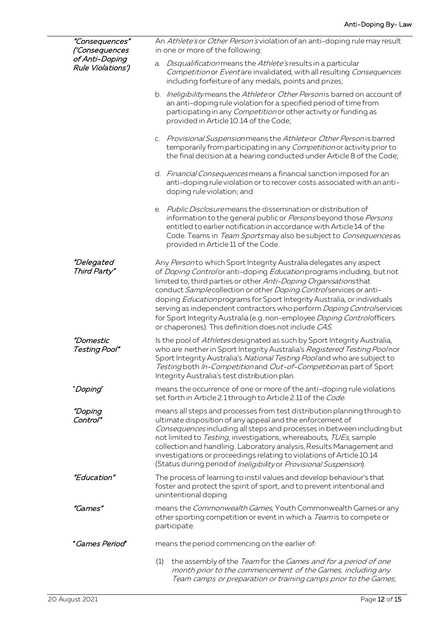| "Consequences"<br>('Consequences<br>of Anti-Doping<br>Rule Violations') | An Athlete's or Other Person's violation of an anti-doping rule may result<br>in one or more of the following:                                                                                                                                                                                                                                                                                                                                                                                                                                                                 |
|-------------------------------------------------------------------------|--------------------------------------------------------------------------------------------------------------------------------------------------------------------------------------------------------------------------------------------------------------------------------------------------------------------------------------------------------------------------------------------------------------------------------------------------------------------------------------------------------------------------------------------------------------------------------|
|                                                                         | Disqualification means the Athlete's results in a particular<br>a.<br>Competition or Eventare invalidated, with all resulting Consequences<br>including forfeiture of any medals, points and prizes;                                                                                                                                                                                                                                                                                                                                                                           |
|                                                                         | b. Ineligibility means the Athleteor Other Person is barred on account of<br>an anti-doping rule violation for a specified period of time from<br>participating in any <i>Competition</i> or other activity or funding as<br>provided in Article 10.14 of the Code;                                                                                                                                                                                                                                                                                                            |
|                                                                         | c. Provisional Suspension means the Athleteor Other Person is barred<br>temporarily from participating in any Competition or activity prior to<br>the final decision at a hearing conducted under Article 8 of the Code;                                                                                                                                                                                                                                                                                                                                                       |
|                                                                         | d. Financial Consequences means a financial sanction imposed for an<br>anti-doping rule violation or to recover costs associated with an anti-<br>doping rule violation; and                                                                                                                                                                                                                                                                                                                                                                                                   |
|                                                                         | e. Public Disclosuremeans the dissemination or distribution of<br>information to the general public or Persons beyond those Persons<br>entitled to earlier notification in accordance with Article 14 of the<br>Code. Teams in Team Sportsmay also be subject to Consequences as<br>provided in Article 11 of the Code.                                                                                                                                                                                                                                                        |
| <i>"Delegated</i><br>Third Party"                                       | Any Personto which Sport Integrity Australia delegates any aspect<br>of Doping Controlor anti-doping Education programs including, but not<br>limited to, third parties or other Anti-Doping Organisations that<br>conduct Sample collection or other Doping Control services or anti-<br>doping Education programs for Sport Integrity Australia, or individuals<br>serving as independent contractors who perform Doping Controlservices<br>for Sport Integrity Australia (e.g. non-employee Doping Controlofficers<br>or chaperones). This definition does not include CAS. |
| "Domestic<br>Testing Pool"                                              | Is the pool of Athletes designated as such by Sport Integrity Australia,<br>who are neither in Sport Integrity Australia's Registered Testing Poolnor<br>Sport Integrity Australia's National Testing Pooland who are subject to<br>Testing both In-Competition and Out-of-Competition as part of Sport<br>Integrity Australia's test distribution plan.                                                                                                                                                                                                                       |
| "Doping"                                                                | means the occurrence of one or more of the anti-doping rule violations<br>set forth in Article 2.1 through to Article 2.11 of the Code.                                                                                                                                                                                                                                                                                                                                                                                                                                        |
| "Doping<br>Control"                                                     | means all steps and processes from test distribution planning through to<br>ultimate disposition of any appeal and the enforcement of<br>Consequences including all steps and processes in between including but<br>not limited to Testing, investigations, whereabouts, TUEs, sample<br>collection and handling. Laboratory analysis, Results Management and<br>investigations or proceedings relating to violations of Article 10.14<br>(Status during period of Ineligibility or Provisional Suspension).                                                                   |
| "Education"                                                             | The process of learning to instil values and develop behaviour's that<br>foster and protect the spirit of sport, and to prevent intentional and<br>unintentional doping                                                                                                                                                                                                                                                                                                                                                                                                        |
| "Games"                                                                 | means the Commonwealth Games, Youth Commonwealth Games or any<br>other sporting competition or event in which a Team is to compete or<br>participate.                                                                                                                                                                                                                                                                                                                                                                                                                          |
| "Games Period"                                                          | means the period commencing on the earlier of:                                                                                                                                                                                                                                                                                                                                                                                                                                                                                                                                 |
|                                                                         | the assembly of the Team for the Games and for a period of one<br>(1)<br>month prior to the commencement of the Games, including any<br>Team camps or preparation or training camps prior to the Games;                                                                                                                                                                                                                                                                                                                                                                        |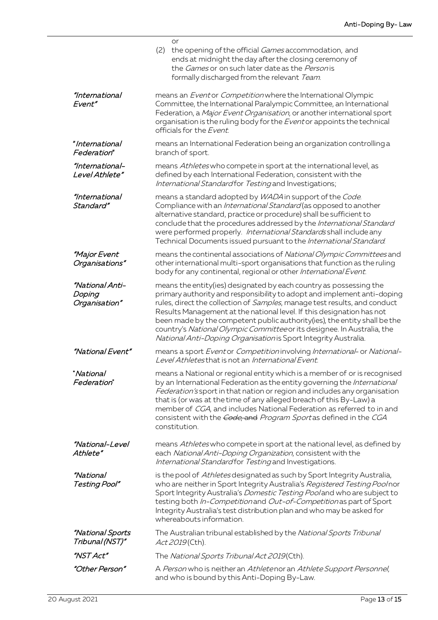|                                            | or<br>(2)<br>the opening of the official Games accommodation, and<br>ends at midnight the day after the closing ceremony of<br>the Games or on such later date as the Personis<br>formally discharged from the relevant Team.                                                                                                                                                                                                                                                                                                  |  |
|--------------------------------------------|--------------------------------------------------------------------------------------------------------------------------------------------------------------------------------------------------------------------------------------------------------------------------------------------------------------------------------------------------------------------------------------------------------------------------------------------------------------------------------------------------------------------------------|--|
| "International<br>Event"                   | means an <i>Eventor Competition</i> where the International Olympic<br>Committee, the International Paralympic Committee, an International<br>Federation, a Major Event Organisation, or another international sport<br>organisation is the ruling body for the Eventor appoints the technical<br>officials for the Event.                                                                                                                                                                                                     |  |
| "International<br><i>Federation</i> "      | means an International Federation being an organization controlling a<br>branch of sport.                                                                                                                                                                                                                                                                                                                                                                                                                                      |  |
| "International-<br>Level Athlete"          | means Athletes who compete in sport at the international level, as<br>defined by each International Federation, consistent with the<br>International Standard for Testing and Investigations;                                                                                                                                                                                                                                                                                                                                  |  |
| "International<br>Standard"                | means a standard adopted by WADA in support of the Code.<br>Compliance with an International Standard (as opposed to another<br>alternative standard, practice or procedure) shall be sufficient to<br>conclude that the procedures addressed by the International Standard<br>were performed properly. International Standards shall include any<br>Technical Documents issued pursuant to the International Standard.                                                                                                        |  |
| <i>"Major Event</i><br>Organisations"      | means the continental associations of National Olympic Committees and<br>other international multi-sport organisations that function as the ruling<br>body for any continental, regional or other International Event.                                                                                                                                                                                                                                                                                                         |  |
| "National Anti-<br>Doping<br>Organisation" | means the entity(ies) designated by each country as possessing the<br>primary authority and responsibility to adopt and implement anti-doping<br>rules, direct the collection of Samples, manage test results, and conduct<br>Results Management at the national level. If this designation has not<br>been made by the competent public authority(ies), the entity shall be the<br>country's National Olympic Committee or its designee. In Australia, the<br>National Anti-Doping Organisation is Sport Integrity Australia. |  |
| "National Event"                           | means a sport Eventor Competition involving International- or National-<br>Level Athletes that is not an International Event.                                                                                                                                                                                                                                                                                                                                                                                                  |  |
| "National<br><i>Federation</i> "           | means a National or regional entity which is a member of or is recognised<br>by an International Federation as the entity governing the International<br>Federation's sport in that nation or region and includes any organisation<br>that is (or was at the time of any alleged breach of this By-Law) a<br>member of CGA, and includes National Federation as referred to in and<br>consistent with the <i>Code</i> , and <i>Program Sport</i> as defined in the CGA<br>constitution.                                        |  |
| <i>"National-Level</i><br>Athlete"         | means Athletes who compete in sport at the national level, as defined by<br>each National Anti-Doping Organization, consistent with the<br>International Standard for Testing and Investigations.                                                                                                                                                                                                                                                                                                                              |  |
| <i>"National</i><br>Testing Pool"          | is the pool of Athletes designated as such by Sport Integrity Australia,<br>who are neither in Sport Integrity Australia's Registered Testing Poolnor<br>Sport Integrity Australia's Domestic Testing Pooland who are subject to<br>testing both In-Competition and Out-of-Competition as part of Sport<br>Integrity Australia's test distribution plan and who may be asked for<br>whereabouts information.                                                                                                                   |  |
| <i>"National Sports</i><br>Tribunal (NST)" | The Australian tribunal established by the National Sports Tribunal<br>Act 2019 (Cth).                                                                                                                                                                                                                                                                                                                                                                                                                                         |  |
| "NST Act"                                  | The National Sports Tribunal Act 2019(Cth).                                                                                                                                                                                                                                                                                                                                                                                                                                                                                    |  |
| "Other Person"                             | A Person who is neither an Athletenor an Athlete Support Personnel,<br>and who is bound by this Anti-Doping By-Law.                                                                                                                                                                                                                                                                                                                                                                                                            |  |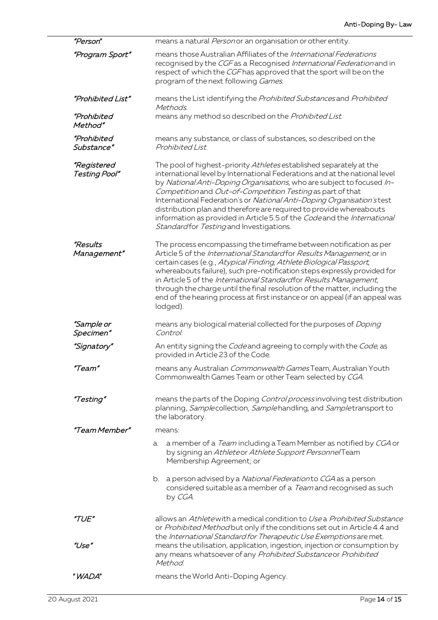| "Person"                         | means a natural <i>Person</i> or an organisation or other entity.                                                                                                                                                                                                                                                                                                                                                                                                                                                                                                |
|----------------------------------|------------------------------------------------------------------------------------------------------------------------------------------------------------------------------------------------------------------------------------------------------------------------------------------------------------------------------------------------------------------------------------------------------------------------------------------------------------------------------------------------------------------------------------------------------------------|
| "Program Sport"                  | means those Australian Affiliates of the International Federations<br>recognised by the CGF as a Recognised International Federation and in<br>respect of which the CGF has approved that the sport will be on the<br>program of the next following Games.                                                                                                                                                                                                                                                                                                       |
| "Prohibited List"                | means the List identifying the Prohibited Substances and Prohibited<br>Methods.                                                                                                                                                                                                                                                                                                                                                                                                                                                                                  |
| "Prohibited<br>Method"           | means any method so described on the Prohibited List.                                                                                                                                                                                                                                                                                                                                                                                                                                                                                                            |
| "Prohibited<br><i>Substance"</i> | means any substance, or class of substances, so described on the<br>Prohibited List.                                                                                                                                                                                                                                                                                                                                                                                                                                                                             |
| "Registered<br>Testing Pool"     | The pool of highest-priority Athletes established separately at the<br>international level by International Federations and at the national level<br>by National Anti-Doping Organisations, who are subject to focused In-<br>Competition and Out-of-Competition Testing as part of that<br>International Federation's or National Anti-Doping Organisation's test<br>distribution plan and therefore are required to provide whereabouts<br>information as provided in Article 5.5 of the Code and the International<br>Standardfor Testing and Investigations. |
| "Results<br>Management"          | The process encompassing the timeframe between notification as per<br>Article 5 of the International Standard for Results Management, or in<br>certain cases (e.g., Atypical Finding, Athlete Biological Passport,<br>whereabouts failure), such pre-notification steps expressly provided for<br>in Article 5 of the International Standardfor Results Management,<br>through the charge until the final resolution of the matter, including the<br>end of the hearing process at first instance or on appeal (if an appeal was<br>lodged).                     |
| <i>"Sample or</i><br>Specimen"   | means any biological material collected for the purposes of <i>Doping</i><br>Control.                                                                                                                                                                                                                                                                                                                                                                                                                                                                            |
| "Signatory"                      | An entity signing the Codeand agreeing to comply with the Code, as<br>provided in Article 23 of the Code.                                                                                                                                                                                                                                                                                                                                                                                                                                                        |
| "Team'                           | means any Australian Commonwealth Games Team, Australian Youth<br>Commonwealth Games Team or other Team selected by CGA.                                                                                                                                                                                                                                                                                                                                                                                                                                         |
| "Testing"                        | means the parts of the Doping Control processinvolving test distribution<br>planning, Samplecollection, Samplehandling, and Sampletransport to<br>the laboratory.                                                                                                                                                                                                                                                                                                                                                                                                |
| "Team Member"                    | means:                                                                                                                                                                                                                                                                                                                                                                                                                                                                                                                                                           |
|                                  | a member of a <i>Team</i> including a Team Member as notified by CGA or<br>a.<br>by signing an Athleteor Athlete Support Personne/Team<br>Membership Agreement; or                                                                                                                                                                                                                                                                                                                                                                                               |
|                                  | b. a person advised by a National Federation to CGA as a person<br>considered suitable as a member of a <i>Team</i> and recognised as such<br>by CGA.                                                                                                                                                                                                                                                                                                                                                                                                            |
| "TUE"                            | allows an Athletewith a medical condition to Use a Prohibited Substance<br>or Prohibited Method but only if the conditions set out in Article 4.4 and<br>the International Standard for Therapeutic Use Exemptions are met.                                                                                                                                                                                                                                                                                                                                      |
| "Use"                            | means the utilisation, application, ingestion, injection or consumption by<br>any means whatsoever of any Prohibited Substance or Prohibited<br>Method.                                                                                                                                                                                                                                                                                                                                                                                                          |
| " WADA"                          | means the World Anti-Doping Agency.                                                                                                                                                                                                                                                                                                                                                                                                                                                                                                                              |